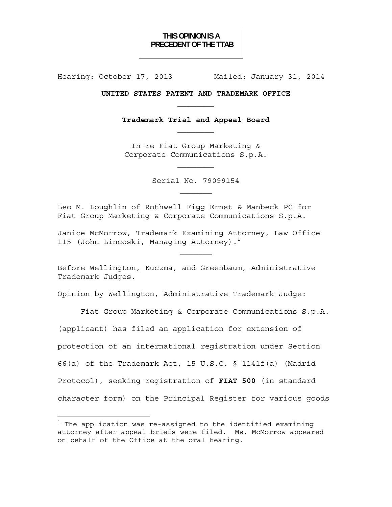# **THIS OPINION IS A PRECEDENT OF THE TTAB**

Hearing: October 17, 2013 Mailed: January 31, 2014

## **UNITED STATES PATENT AND TRADEMARK OFFICE**   $\mathcal{L}_\text{max}$

**Trademark Trial and Appeal Board** 

In re Fiat Group Marketing & Corporate Communications S.p.A.

Serial No. 79099154

Leo M. Loughlin of Rothwell Figg Ernst & Manbeck PC for Fiat Group Marketing & Corporate Communications S.p.A.

Janice McMorrow, Trademark Examining Attorney, Law Office 115 (John Lincoski, Managing Attorney).<sup>1</sup>

Before Wellington, Kuczma, and Greenbaum, Administrative Trademark Judges.

Opinion by Wellington, Administrative Trademark Judge:

Fiat Group Marketing & Corporate Communications S.p.A. (applicant) has filed an application for extension of protection of an international registration under Section 66(a) of the Trademark Act, 15 U.S.C. § 1141f(a) (Madrid Protocol), seeking registration of **FIAT 500** (in standard character form) on the Principal Register for various goods

 $^1$  The application was re-assigned to the identified examining attorney after appeal briefs were filed. Ms. McMorrow appeared on behalf of the Office at the oral hearing.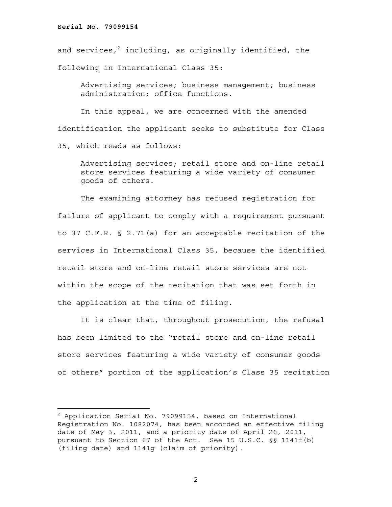and services, $^2$  including, as originally identified, the following in International Class 35:

Advertising services; business management; business administration; office functions.

 In this appeal, we are concerned with the amended identification the applicant seeks to substitute for Class 35, which reads as follows:

Advertising services; retail store and on-line retail store services featuring a wide variety of consumer goods of others.

The examining attorney has refused registration for failure of applicant to comply with a requirement pursuant to 37 C.F.R. § 2.71(a) for an acceptable recitation of the services in International Class 35, because the identified retail store and on-line retail store services are not within the scope of the recitation that was set forth in the application at the time of filing.

It is clear that, throughout prosecution, the refusal has been limited to the "retail store and on-line retail store services featuring a wide variety of consumer goods of others" portion of the application's Class 35 recitation

 $^2$  Application Serial No. 79099154, based on International Registration No. 1082074, has been accorded an effective filing date of May 3, 2011, and a priority date of April 26, 2011, pursuant to Section 67 of the Act. See 15 U.S.C. §§ 1141f(b) (filing date) and 1141g (claim of priority).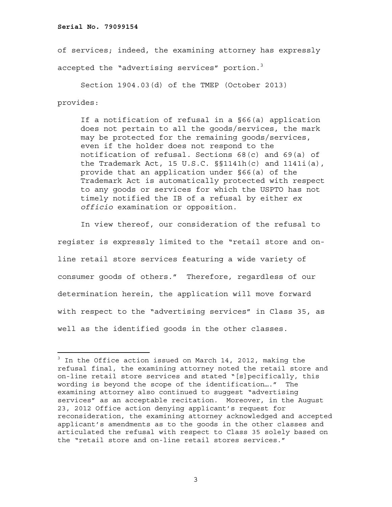÷.

of services; indeed, the examining attorney has expressly accepted the "advertising services" portion.<sup>3</sup>

Section 1904.03(d) of the TMEP (October 2013) provides:

If a notification of refusal in a §66(a) application does not pertain to all the goods/services, the mark may be protected for the remaining goods/services, even if the holder does not respond to the notification of refusal. Sections 68(c) and 69(a) of the Trademark Act, 15  $U.S.C.$   $\S1141h(c)$  and  $1141i(a)$ , provide that an application under §66(a) of the Trademark Act is automatically protected with respect to any goods or services for which the USPTO has not timely notified the IB of a refusal by either *ex officio* examination or opposition.

 In view thereof, our consideration of the refusal to register is expressly limited to the "retail store and online retail store services featuring a wide variety of consumer goods of others." Therefore, regardless of our determination herein, the application will move forward with respect to the "advertising services" in Class 35, as well as the identified goods in the other classes.

<sup>&</sup>lt;sup>3</sup> In the Office action issued on March 14, 2012, making the refusal final, the examining attorney noted the retail store and on-line retail store services and stated "[s]pecifically, this wording is beyond the scope of the identification…." The examining attorney also continued to suggest "advertising services" as an acceptable recitation. Moreover, in the August 23, 2012 Office action denying applicant's request for reconsideration, the examining attorney acknowledged and accepted applicant's amendments as to the goods in the other classes and articulated the refusal with respect to Class 35 solely based on the "retail store and on-line retail stores services."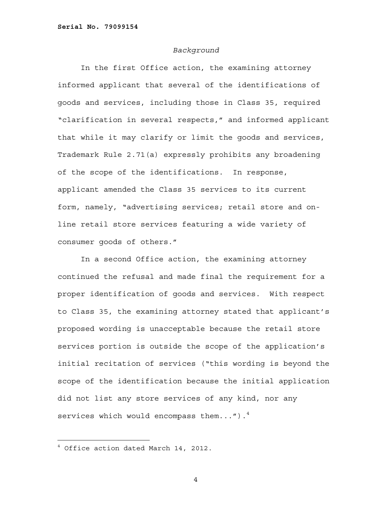#### *Background*

In the first Office action, the examining attorney informed applicant that several of the identifications of goods and services, including those in Class 35, required "clarification in several respects," and informed applicant that while it may clarify or limit the goods and services, Trademark Rule 2.71(a) expressly prohibits any broadening of the scope of the identifications. In response, applicant amended the Class 35 services to its current form, namely, "advertising services; retail store and online retail store services featuring a wide variety of consumer goods of others."

In a second Office action, the examining attorney continued the refusal and made final the requirement for a proper identification of goods and services. With respect to Class 35, the examining attorney stated that applicant's proposed wording is unacceptable because the retail store services portion is outside the scope of the application's initial recitation of services ("this wording is beyond the scope of the identification because the initial application did not list any store services of any kind, nor any services which would encompass them...").<sup>4</sup>

÷.

<sup>4</sup> Office action dated March 14, 2012.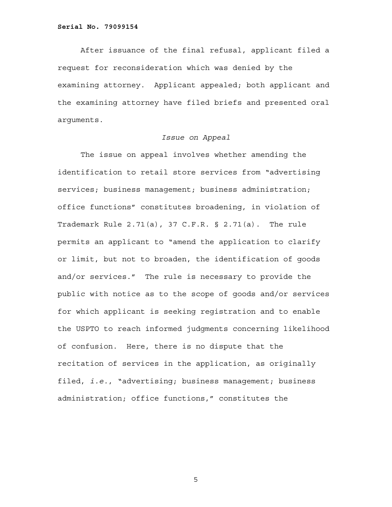After issuance of the final refusal, applicant filed a request for reconsideration which was denied by the examining attorney. Applicant appealed; both applicant and the examining attorney have filed briefs and presented oral arguments.

## *Issue on Appeal*

The issue on appeal involves whether amending the identification to retail store services from "advertising services; business management; business administration; office functions" constitutes broadening, in violation of Trademark Rule 2.71(a), 37 C.F.R. § 2.71(a). The rule permits an applicant to "amend the application to clarify or limit, but not to broaden, the identification of goods and/or services." The rule is necessary to provide the public with notice as to the scope of goods and/or services for which applicant is seeking registration and to enable the USPTO to reach informed judgments concerning likelihood of confusion. Here, there is no dispute that the recitation of services in the application, as originally filed, *i.e.*, "advertising; business management; business administration; office functions," constitutes the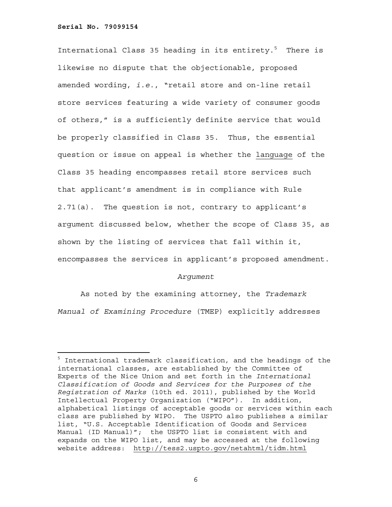÷.

International Class 35 heading in its entirety.<sup>5</sup> There is likewise no dispute that the objectionable, proposed amended wording, *i.e.*, "retail store and on-line retail store services featuring a wide variety of consumer goods of others," is a sufficiently definite service that would be properly classified in Class 35. Thus, the essential question or issue on appeal is whether the language of the Class 35 heading encompasses retail store services such that applicant's amendment is in compliance with Rule 2.71(a). The question is not, contrary to applicant's argument discussed below, whether the scope of Class 35, as shown by the listing of services that fall within it, encompasses the services in applicant's proposed amendment.

## *Argument*

As noted by the examining attorney, the *Trademark Manual of Examining Procedure* (TMEP) explicitly addresses

<sup>&</sup>lt;sup>5</sup> International trademark classification, and the headings of the international classes, are established by the Committee of Experts of the Nice Union and set forth in the *International Classification of Goods and Services for the Purposes of the Registration of Marks* (10th ed. 2011), published by the World Intellectual Property Organization ("WIPO"). In addition, alphabetical listings of acceptable goods or services within each class are published by WIPO. The USPTO also publishes a similar list, "U.S. Acceptable Identification of Goods and Services Manual (ID Manual)"; the USPTO list is consistent with and expands on the WIPO list, and may be accessed at the following website address: http://tess2.uspto.gov/netahtml/tidm.html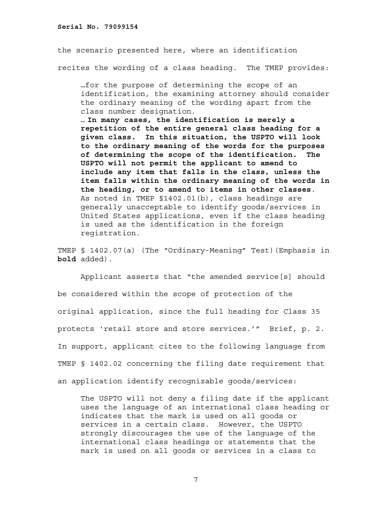the scenario presented here, where an identification recites the wording of a class heading. The TMEP provides:

…for the purpose of determining the scope of an identification, the examining attorney should consider the ordinary meaning of the wording apart from the class number designation.

… **In many cases, the identification is merely a repetition of the entire general class heading for a given class. In this situation, the USPTO will look to the ordinary meaning of the words for the purposes of determining the scope of the identification. The USPTO will not permit the applicant to amend to include any item that falls in the class, unless the item falls within the ordinary meaning of the words in the heading, or to amend to items in other classes**. As noted in TMEP §1402.01(b), class headings are generally unacceptable to identify goods/services in United States applications, even if the class heading is used as the identification in the foreign registration.

TMEP § 1402.07(a) (The "Ordinary-Meaning" Test)(Emphasis in **bold** added).

Applicant asserts that "the amended service[s] should be considered within the scope of protection of the original application, since the full heading for Class 35 protects 'retail store and store services.'" Brief, p. 2. In support, applicant cites to the following language from TMEP § 1402.02 concerning the filing date requirement that an application identify recognizable goods/services:

The USPTO will not deny a filing date if the applicant uses the language of an international class heading or indicates that the mark is used on all goods or services in a certain class. However, the USPTO strongly discourages the use of the language of the international class headings or statements that the mark is used on all goods or services in a class to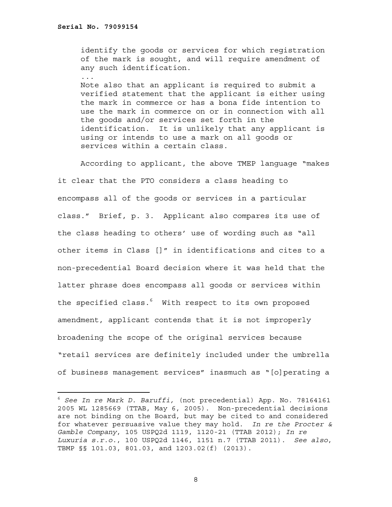...

÷.

identify the goods or services for which registration of the mark is sought, and will require amendment of any such identification.

Note also that an applicant is required to submit a verified statement that the applicant is either using the mark in commerce or has a bona fide intention to use the mark in commerce on or in connection with all the goods and/or services set forth in the identification. It is unlikely that any applicant is using or intends to use a mark on all goods or services within a certain class.

 According to applicant, the above TMEP language "makes it clear that the PTO considers a class heading to encompass all of the goods or services in a particular class." Brief, p. 3. Applicant also compares its use of the class heading to others' use of wording such as "all other items in Class []" in identifications and cites to a non-precedential Board decision where it was held that the latter phrase does encompass all goods or services within the specified class.<sup>6</sup> With respect to its own proposed amendment, applicant contends that it is not improperly broadening the scope of the original services because "retail services are definitely included under the umbrella of business management services" inasmuch as "[o]perating a

<sup>6</sup> *See In re Mark D. Baruffi,* (not precedential) App. No. 78164161 2005 WL 1285669 (TTAB, May 6, 2005). Non-precedential decisions are not binding on the Board, but may be cited to and considered for whatever persuasive value they may hold. *In re the Procter & Gamble Company*, 105 USPQ2d 1119, 1120-21 (TTAB 2012); *In re Luxuria s.r.o.*, 100 USPQ2d 1146, 1151 n.7 (TTAB 2011). *See also*, TBMP §§ 101.03, 801.03, and 1203.02(f) (2013).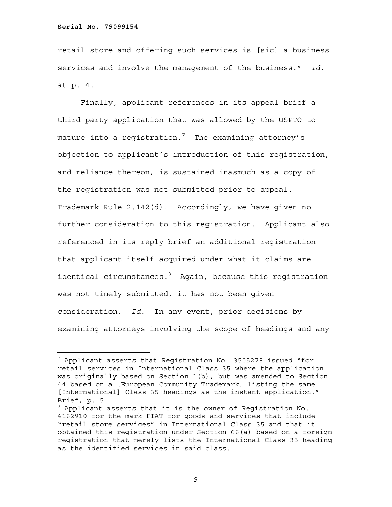÷.

retail store and offering such services is [sic] a business services and involve the management of the business." *Id.* at p. 4.

Finally, applicant references in its appeal brief a third-party application that was allowed by the USPTO to mature into a registration. $^7$  The examining attorney's objection to applicant's introduction of this registration, and reliance thereon, is sustained inasmuch as a copy of the registration was not submitted prior to appeal. Trademark Rule 2.142(d). Accordingly, we have given no further consideration to this registration. Applicant also referenced in its reply brief an additional registration that applicant itself acquired under what it claims are identical circumstances. Again, because this registration was not timely submitted, it has not been given consideration. *Id.* In any event, prior decisions by examining attorneys involving the scope of headings and any

 $^7$  Applicant asserts that Registration No. 3505278 issued "for retail services in International Class 35 where the application was originally based on Section 1(b), but was amended to Section 44 based on a [European Community Trademark] listing the same [International] Class 35 headings as the instant application." Brief, p. 5.

 $^8$  Applicant asserts that it is the owner of Registration No. 4162910 for the mark FIAT for goods and services that include "retail store services" in International Class 35 and that it obtained this registration under Section 66(a) based on a foreign registration that merely lists the International Class 35 heading as the identified services in said class.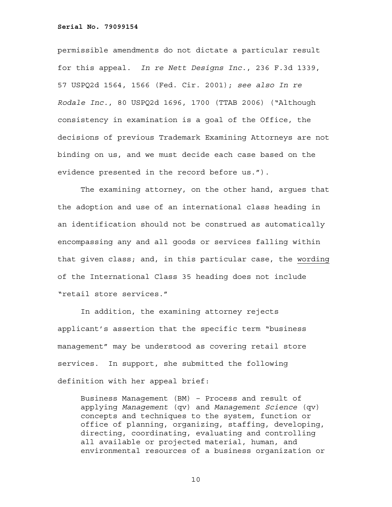permissible amendments do not dictate a particular result for this appeal. *In re Nett Designs Inc.*, 236 F.3d 1339, 57 USPQ2d 1564, 1566 (Fed. Cir. 2001); *see also In re Rodale Inc.*, 80 USPQ2d 1696, 1700 (TTAB 2006) ("Although consistency in examination is a goal of the Office, the decisions of previous Trademark Examining Attorneys are not binding on us, and we must decide each case based on the evidence presented in the record before us.").

 The examining attorney, on the other hand, argues that the adoption and use of an international class heading in an identification should not be construed as automatically encompassing any and all goods or services falling within that given class; and, in this particular case, the wording of the International Class 35 heading does not include "retail store services."

 In addition, the examining attorney rejects applicant's assertion that the specific term "business management" may be understood as covering retail store services. In support, she submitted the following definition with her appeal brief:

Business Management (BM) – Process and result of applying *Management* (qv) and *Management Science* (qv) concepts and techniques to the system, function or office of planning, organizing, staffing, developing, directing, coordinating, evaluating and controlling all available or projected material, human, and environmental resources of a business organization or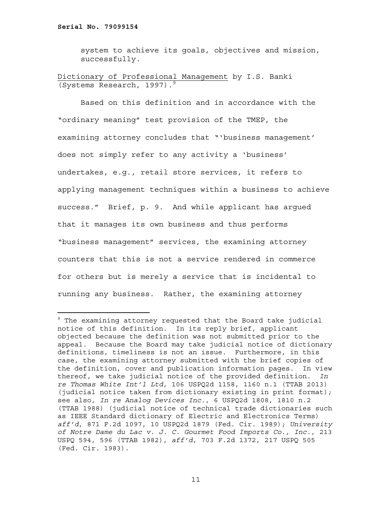system to achieve its goals, objectives and mission, successfully.

```
Dictionary of Professional Management by I.S. Banki 
(Systems Research, 1997).9
```
Based on this definition and in accordance with the "ordinary meaning" test provision of the TMEP, the examining attorney concludes that "'business management' does not simply refer to any activity a 'business' undertakes, e.g., retail store services, it refers to applying management techniques within a business to achieve success." Brief, p. 9. And while applicant has argued that it manages its own business and thus performs "business management" services, the examining attorney counters that this is not a service rendered in commerce for others but is merely a service that is incidental to running any business. Rather, the examining attorney

<sup>9</sup> The examining attorney requested that the Board take judicial notice of this definition. In its reply brief, applicant objected because the definition was not submitted prior to the appeal. Because the Board may take judicial notice of dictionary definitions, timeliness is not an issue. Furthermore, in this case, the examining attorney submitted with the brief copies of the definition, cover and publication information pages. In view thereof, we take judicial notice of the provided definition. *In re Thomas White Int'l Ltd*, 106 USPQ2d 1158, 1160 n.1 (TTAB 2013) (judicial notice taken from dictionary existing in print format); see also, *In re Analog Devices Inc.*, 6 USPQ2d 1808, 1810 n.2 (TTAB 1988) (judicial notice of technical trade dictionaries such as IEEE Standard dictionary of Electric and Electronics Terms) *aff'd,* 871 F.2d 1097, 10 USPQ2d 1879 (Fed. Cir. 1989); *University of Notre Dame du Lac v. J. C. Gourmet Food Imports Co., Inc.*, 213 USPQ 594, 596 (TTAB 1982), *aff'd,* 703 F.2d 1372, 217 USPQ 505 (Fed. Cir. 1983).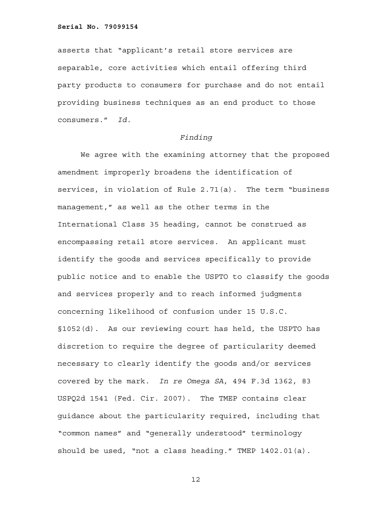asserts that "applicant's retail store services are separable, core activities which entail offering third party products to consumers for purchase and do not entail providing business techniques as an end product to those consumers." *Id.*

#### *Finding*

We agree with the examining attorney that the proposed amendment improperly broadens the identification of services, in violation of Rule 2.71(a). The term "business management," as well as the other terms in the International Class 35 heading, cannot be construed as encompassing retail store services. An applicant must identify the goods and services specifically to provide public notice and to enable the USPTO to classify the goods and services properly and to reach informed judgments concerning likelihood of confusion under 15 U.S.C. §1052(d). As our reviewing court has held, the USPTO has discretion to require the degree of particularity deemed necessary to clearly identify the goods and/or services covered by the mark. *In re Omega SA*, 494 F.3d 1362, 83 USPQ2d 1541 (Fed. Cir. 2007). The TMEP contains clear guidance about the particularity required, including that "common names" and "generally understood" terminology should be used, "not a class heading." TMEP 1402.01(a).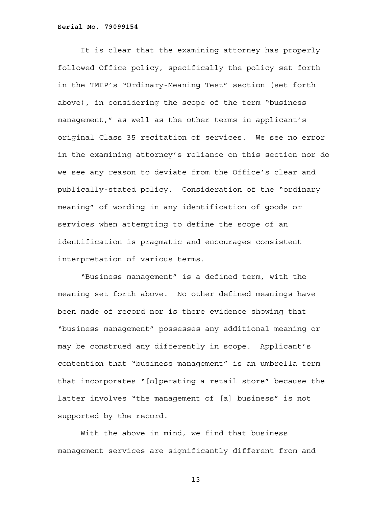It is clear that the examining attorney has properly followed Office policy, specifically the policy set forth in the TMEP's "Ordinary-Meaning Test" section (set forth above), in considering the scope of the term "business management," as well as the other terms in applicant's original Class 35 recitation of services. We see no error in the examining attorney's reliance on this section nor do we see any reason to deviate from the Office's clear and publically-stated policy. Consideration of the "ordinary meaning" of wording in any identification of goods or services when attempting to define the scope of an identification is pragmatic and encourages consistent interpretation of various terms.

"Business management" is a defined term, with the meaning set forth above. No other defined meanings have been made of record nor is there evidence showing that "business management" possesses any additional meaning or may be construed any differently in scope. Applicant's contention that "business management" is an umbrella term that incorporates "[o]perating a retail store" because the latter involves "the management of [a] business" is not supported by the record.

With the above in mind, we find that business management services are significantly different from and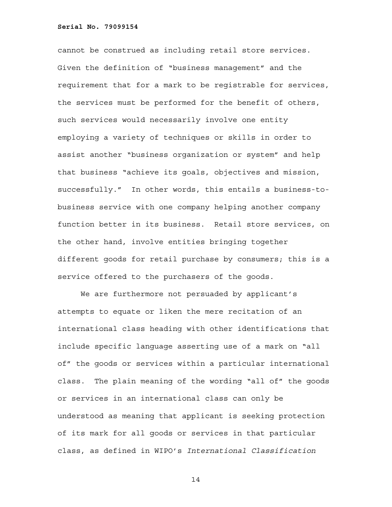cannot be construed as including retail store services. Given the definition of "business management" and the requirement that for a mark to be registrable for services, the services must be performed for the benefit of others, such services would necessarily involve one entity employing a variety of techniques or skills in order to assist another "business organization or system" and help that business "achieve its goals, objectives and mission, successfully." In other words, this entails a business-tobusiness service with one company helping another company function better in its business. Retail store services, on the other hand, involve entities bringing together different goods for retail purchase by consumers; this is a service offered to the purchasers of the goods.

We are furthermore not persuaded by applicant's attempts to equate or liken the mere recitation of an international class heading with other identifications that include specific language asserting use of a mark on "all of" the goods or services within a particular international class. The plain meaning of the wording "all of" the goods or services in an international class can only be understood as meaning that applicant is seeking protection of its mark for all goods or services in that particular class, as defined in WIPO's *International Classification*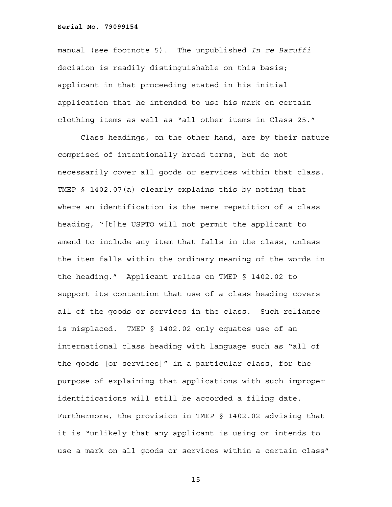manual (see footnote 5). The unpublished *In re Baruffi*  decision is readily distinguishable on this basis; applicant in that proceeding stated in his initial application that he intended to use his mark on certain clothing items as well as "all other items in Class 25."

Class headings, on the other hand, are by their nature comprised of intentionally broad terms, but do not necessarily cover all goods or services within that class. TMEP § 1402.07(a) clearly explains this by noting that where an identification is the mere repetition of a class heading, "[t]he USPTO will not permit the applicant to amend to include any item that falls in the class, unless the item falls within the ordinary meaning of the words in the heading." Applicant relies on TMEP § 1402.02 to support its contention that use of a class heading covers all of the goods or services in the class. Such reliance is misplaced. TMEP § 1402.02 only equates use of an international class heading with language such as "all of the goods [or services]" in a particular class, for the purpose of explaining that applications with such improper identifications will still be accorded a filing date. Furthermore, the provision in TMEP § 1402.02 advising that it is "unlikely that any applicant is using or intends to use a mark on all goods or services within a certain class"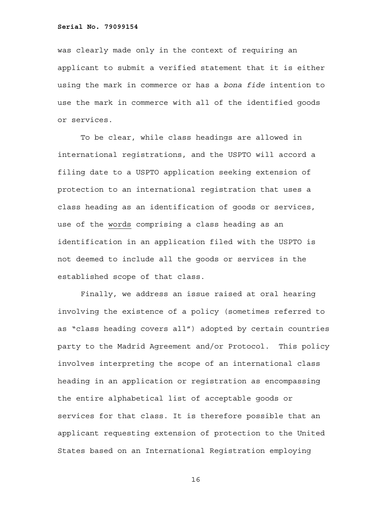was clearly made only in the context of requiring an applicant to submit a verified statement that it is either using the mark in commerce or has a *bona fide* intention to use the mark in commerce with all of the identified goods or services.

To be clear, while class headings are allowed in international registrations, and the USPTO will accord a filing date to a USPTO application seeking extension of protection to an international registration that uses a class heading as an identification of goods or services, use of the words comprising a class heading as an identification in an application filed with the USPTO is not deemed to include all the goods or services in the established scope of that class.

Finally, we address an issue raised at oral hearing involving the existence of a policy (sometimes referred to as "class heading covers all") adopted by certain countries party to the Madrid Agreement and/or Protocol. This policy involves interpreting the scope of an international class heading in an application or registration as encompassing the entire alphabetical list of acceptable goods or services for that class. It is therefore possible that an applicant requesting extension of protection to the United States based on an International Registration employing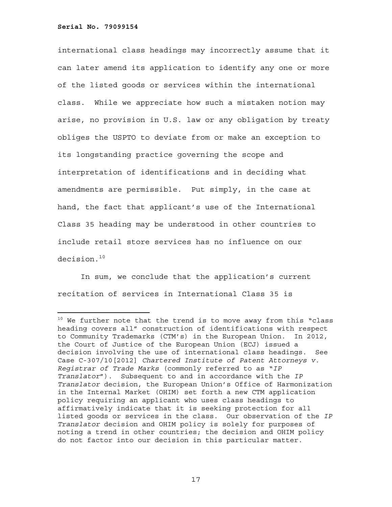international class headings may incorrectly assume that it can later amend its application to identify any one or more of the listed goods or services within the international class. While we appreciate how such a mistaken notion may arise, no provision in U.S. law or any obligation by treaty obliges the USPTO to deviate from or make an exception to its longstanding practice governing the scope and interpretation of identifications and in deciding what amendments are permissible. Put simply, in the case at hand, the fact that applicant's use of the International Class 35 heading may be understood in other countries to include retail store services has no influence on our decision.<sup>10</sup>

In sum, we conclude that the application's current recitation of services in International Class 35 is

 $10$  We further note that the trend is to move away from this "class heading covers all" construction of identifications with respect to Community Trademarks (CTM's) in the European Union. In 2012, the Court of Justice of the European Union (ECJ) issued a decision involving the use of international class headings. See Case C-307/10[2012] *Chartered Institute of Patent Attorneys v. Registrar of Trade Marks* (commonly referred to as "*IP Translator*"). Subsequent to and in accordance with the *IP Translator* decision, the European Union's Office of Harmonization in the Internal Market (OHIM) set forth a new CTM application policy requiring an applicant who uses class headings to affirmatively indicate that it is seeking protection for all listed goods or services in the class. Our observation of the *IP Translator* decision and OHIM policy is solely for purposes of noting a trend in other countries; the decision and OHIM policy do not factor into our decision in this particular matter.